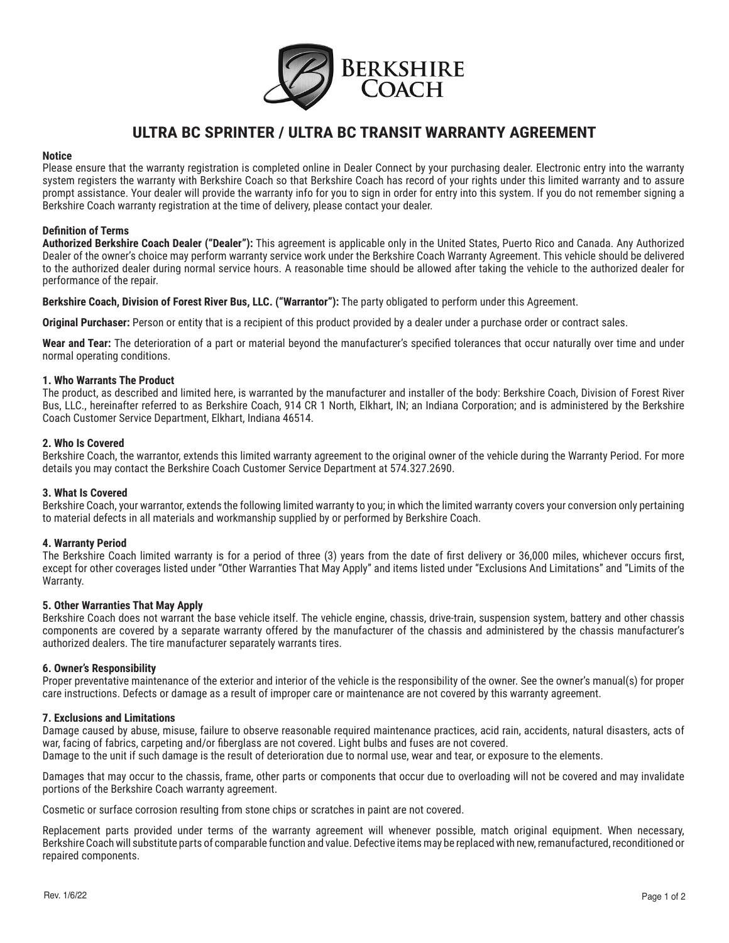

# **ULTRA BC SPRINTER / ULTRA BC TRANSIT WARRANTY AGREEMENT**

# **Notice**

Please ensure that the warranty registration is completed online in Dealer Connect by your purchasing dealer. Electronic entry into the warranty system registers the warranty with Berkshire Coach so that Berkshire Coach has record of your rights under this limited warranty and to assure prompt assistance. Your dealer will provide the warranty info for you to sign in order for entry into this system. If you do not remember signing a Berkshire Coach warranty registration at the time of delivery, please contact your dealer.

# **Definition of Terms**

**Authorized Berkshire Coach Dealer ("Dealer"):** This agreement is applicable only in the United States, Puerto Rico and Canada. Any Authorized Dealer of the owner's choice may perform warranty service work under the Berkshire Coach Warranty Agreement. This vehicle should be delivered to the authorized dealer during normal service hours. A reasonable time should be allowed after taking the vehicle to the authorized dealer for performance of the repair.

**Berkshire Coach, Division of Forest River Bus, LLC. ("Warrantor"):** The party obligated to perform under this Agreement.

**Original Purchaser:** Person or entity that is a recipient of this product provided by a dealer under a purchase order or contract sales.

**Wear and Tear:** The deterioration of a part or material beyond the manufacturer's specified tolerances that occur naturally over time and under normal operating conditions.

# **1. Who Warrants The Product**

The product, as described and limited here, is warranted by the manufacturer and installer of the body: Berkshire Coach, Division of Forest River Bus, LLC., hereinafter referred to as Berkshire Coach, 914 CR 1 North, Elkhart, IN; an Indiana Corporation; and is administered by the Berkshire Coach Customer Service Department, Elkhart, Indiana 46514.

# **2. Who Is Covered**

Berkshire Coach, the warrantor, extends this limited warranty agreement to the original owner of the vehicle during the Warranty Period. For more details you may contact the Berkshire Coach Customer Service Department at 574.327.2690.

# **3. What Is Covered**

Berkshire Coach, your warrantor, extends the following limited warranty to you; in which the limited warranty covers your conversion only pertaining to material defects in all materials and workmanship supplied by or performed by Berkshire Coach.

# **4. Warranty Period**

The Berkshire Coach limited warranty is for a period of three (3) years from the date of first delivery or 36,000 miles, whichever occurs first, except for other coverages listed under "Other Warranties That May Apply" and items listed under "Exclusions And Limitations" and "Limits of the Warranty.

# **5. Other Warranties That May Apply**

Berkshire Coach does not warrant the base vehicle itself. The vehicle engine, chassis, drive-train, suspension system, battery and other chassis components are covered by a separate warranty offered by the manufacturer of the chassis and administered by the chassis manufacturer's authorized dealers. The tire manufacturer separately warrants tires.

#### **6. Owner's Responsibility**

Proper preventative maintenance of the exterior and interior of the vehicle is the responsibility of the owner. See the owner's manual(s) for proper care instructions. Defects or damage as a result of improper care or maintenance are not covered by this warranty agreement.

#### **7. Exclusions and Limitations**

Damage caused by abuse, misuse, failure to observe reasonable required maintenance practices, acid rain, accidents, natural disasters, acts of war, facing of fabrics, carpeting and/or fiberglass are not covered. Light bulbs and fuses are not covered.

Damage to the unit if such damage is the result of deterioration due to normal use, wear and tear, or exposure to the elements.

Damages that may occur to the chassis, frame, other parts or components that occur due to overloading will not be covered and may invalidate portions of the Berkshire Coach warranty agreement.

Cosmetic or surface corrosion resulting from stone chips or scratches in paint are not covered.

Replacement parts provided under terms of the warranty agreement will whenever possible, match original equipment. When necessary, Berkshire Coach will substitute parts of comparable function and value. Defective items may be replaced with new, remanufactured, reconditioned or repaired components.